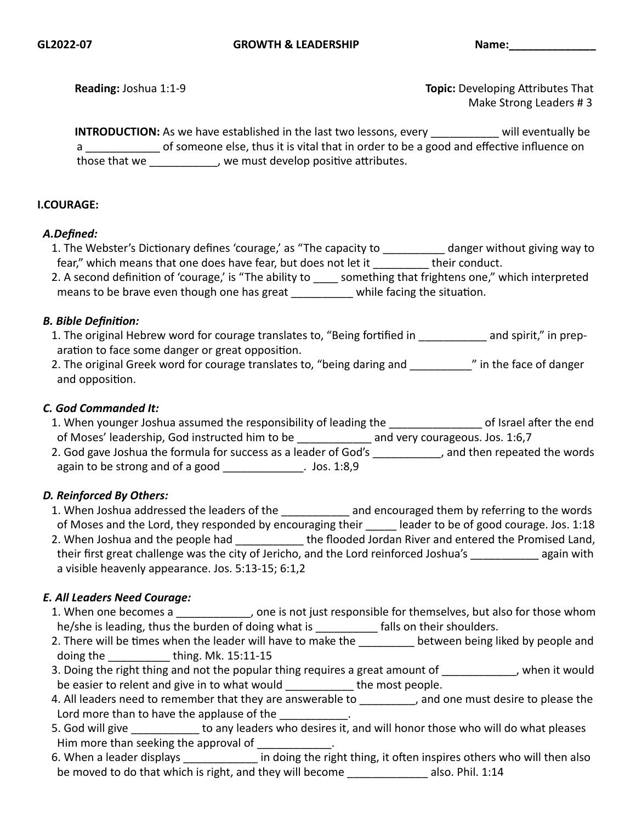**Reading:** Joshua 1:1-9 Make Strong Leaders # 3

**INTRODUCTION:** As we have established in the last two lessons, every will eventually be a camelone else, thus it is vital that in order to be a good and effective influence on those that we set the sum of the well of the set of the set of the set of the set of the set of the set of the

#### **I.COURAGE:**

#### *A.Defined:*

| 1. The Webster's Dictionary defines 'courage,' as "The capacity to | danger without giving way to |
|--------------------------------------------------------------------|------------------------------|
| fear," which means that one does have fear, but does not let it    | their conduct.               |
|                                                                    |                              |

| 2. A second definition of 'courage,' is "The ability to | something that frightens one," which interpreted |
|---------------------------------------------------------|--------------------------------------------------|
| means to be brave even though one has great             | while facing the situation.                      |

#### *B. Bible Definition:*

- 1. The original Hebrew word for courage translates to, "Being fortified in \_\_\_\_\_\_\_\_\_\_\_ and spirit," in preparation to face some danger or great opposition.
- 2. The original Greek word for courage translates to, "being daring and \_\_\_\_\_\_\_\_\_\_" in the face of danger and opposition.

#### *C. God Commanded It:*

- 1. When younger Joshua assumed the responsibility of leading the same of Israel after the end of Moses' leadership, God instructed him to be and very courageous. Jos. 1:6,7
- 2. God gave Joshua the formula for success as a leader of God's \_\_\_\_\_\_\_\_\_\_, and then repeated the words again to be strong and of a good \_\_\_\_\_\_\_\_\_\_\_\_\_. Jos. 1:8,9

#### *D. Reinforced By Others:*

- 1. When Joshua addressed the leaders of the \_\_\_\_\_\_\_\_\_\_\_\_ and encouraged them by referring to the words of Moses and the Lord, they responded by encouraging their leader to be of good courage. Jos. 1:18 2. When Joshua and the people had the flooded Jordan River and entered the Promised Land,
- their first great challenge was the city of Jericho, and the Lord reinforced Joshua's again with a visible heavenly appearance. Jos. 5:13-15; 6:1,2

#### *E. All Leaders Need Courage:*

- 1. When one becomes a \_\_\_\_\_\_\_\_\_, one is not just responsible for themselves, but also for those whom he/she is leading, thus the burden of doing what is election on their shoulders.
- 2. There will be times when the leader will have to make the \_\_\_\_\_\_\_\_\_ between being liked by people and doing the  $\qquad \qquad$  thing. Mk. 15:11-15
- 3. Doing the right thing and not the popular thing requires a great amount of Theorem it would be easier to relent and give in to what would \_\_\_\_\_\_\_\_\_\_\_\_ the most people.
- 4. All leaders need to remember that they are answerable to \_\_\_\_\_\_\_\_, and one must desire to please the Lord more than to have the applause of the
- 5. God will give **the any leaders** who desires it, and will honor those who will do what pleases Him more than seeking the approval of  $\Box$
- 6. When a leader displays extend the matrix in doing the right thing, it often inspires others who will then also be moved to do that which is right, and they will become \_\_\_\_\_\_\_\_\_\_\_\_\_\_\_\_\_ also. Phil. 1:14